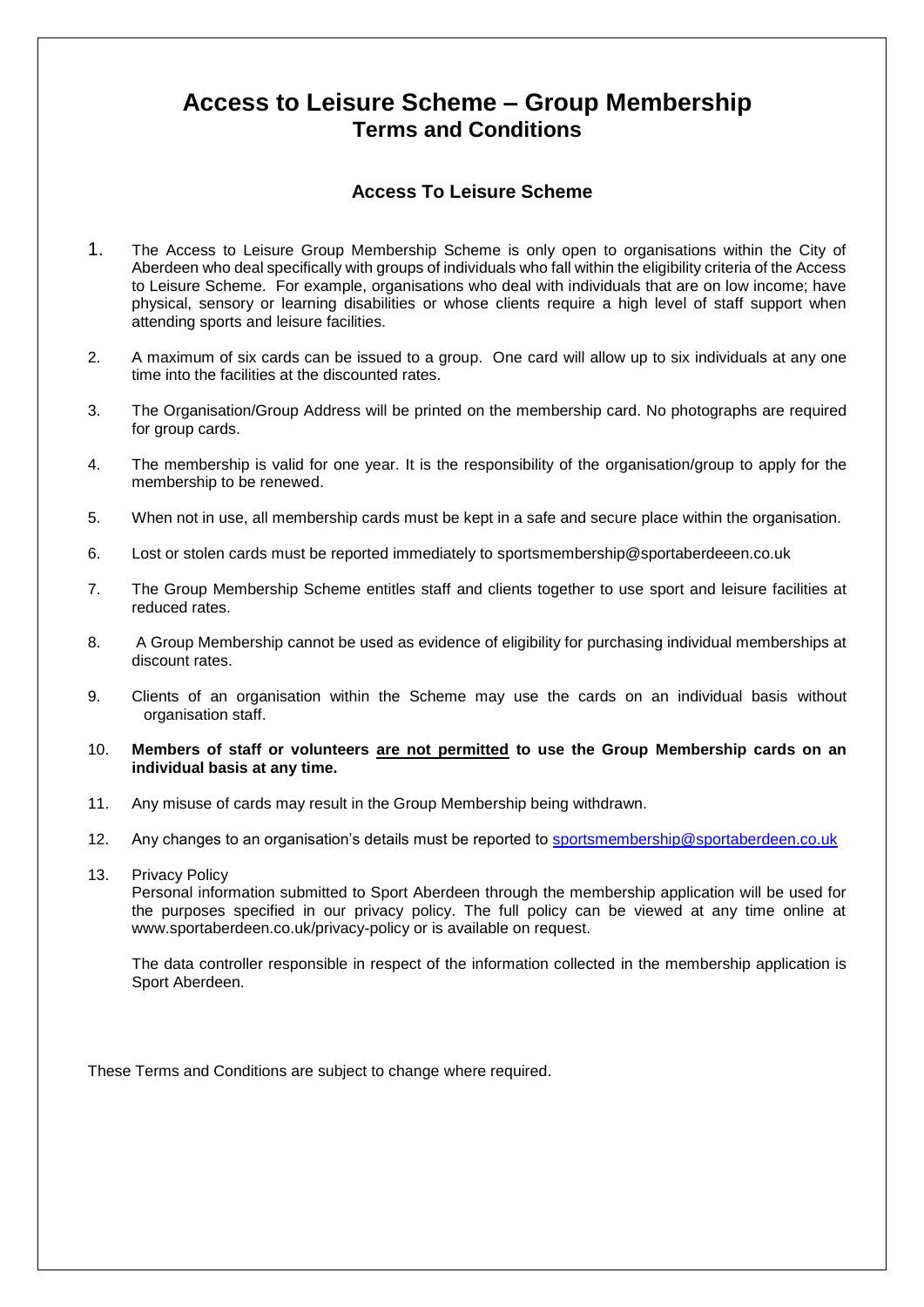## **Access to Leisure Scheme – Group Membership Terms and Conditions**

## **Access To Leisure Scheme**

- 1. The Access to Leisure Group Membership Scheme is only open to organisations within the City of Aberdeen who deal specifically with groups of individuals who fall within the eligibility criteria of the Access to Leisure Scheme. For example, organisations who deal with individuals that are on low income; have physical, sensory or learning disabilities or whose clients require a high level of staff support when attending sports and leisure facilities.
- 2. A maximum of six cards can be issued to a group. One card will allow up to six individuals at any one time into the facilities at the discounted rates.
- 3. The Organisation/Group Address will be printed on the membership card. No photographs are required for group cards.
- 4. The membership is valid for one year. It is the responsibility of the organisation/group to apply for the membership to be renewed.
- 5. When not in use, all membership cards must be kept in a safe and secure place within the organisation.
- 6. Lost or stolen cards must be reported immediately to sportsmembership@sportaberdeeen.co.uk
- 7. The Group Membership Scheme entitles staff and clients together to use sport and leisure facilities at reduced rates.
- 8. A Group Membership cannot be used as evidence of eligibility for purchasing individual memberships at discount rates.
- 9. Clients of an organisation within the Scheme may use the cards on an individual basis without organisation staff.
- 10. **Members of staff or volunteers are not permitted to use the Group Membership cards on an individual basis at any time.**
- 11. Any misuse of cards may result in the Group Membership being withdrawn.
- 12. Any changes to an organisation's details must be reported to [sportsmembership@sportaberdeen.co.uk](mailto:sportsmembership@sportaberdeen.co.uk)
- 13. Privacy Policy

Personal information submitted to Sport Aberdeen through the membership application will be used for the purposes specified in our privacy policy. The full policy can be viewed at any time online at www.sportaberdeen.co.uk/privacy-policy or is available on request.

The data controller responsible in respect of the information collected in the membership application is Sport Aberdeen.

These Terms and Conditions are subject to change where required.